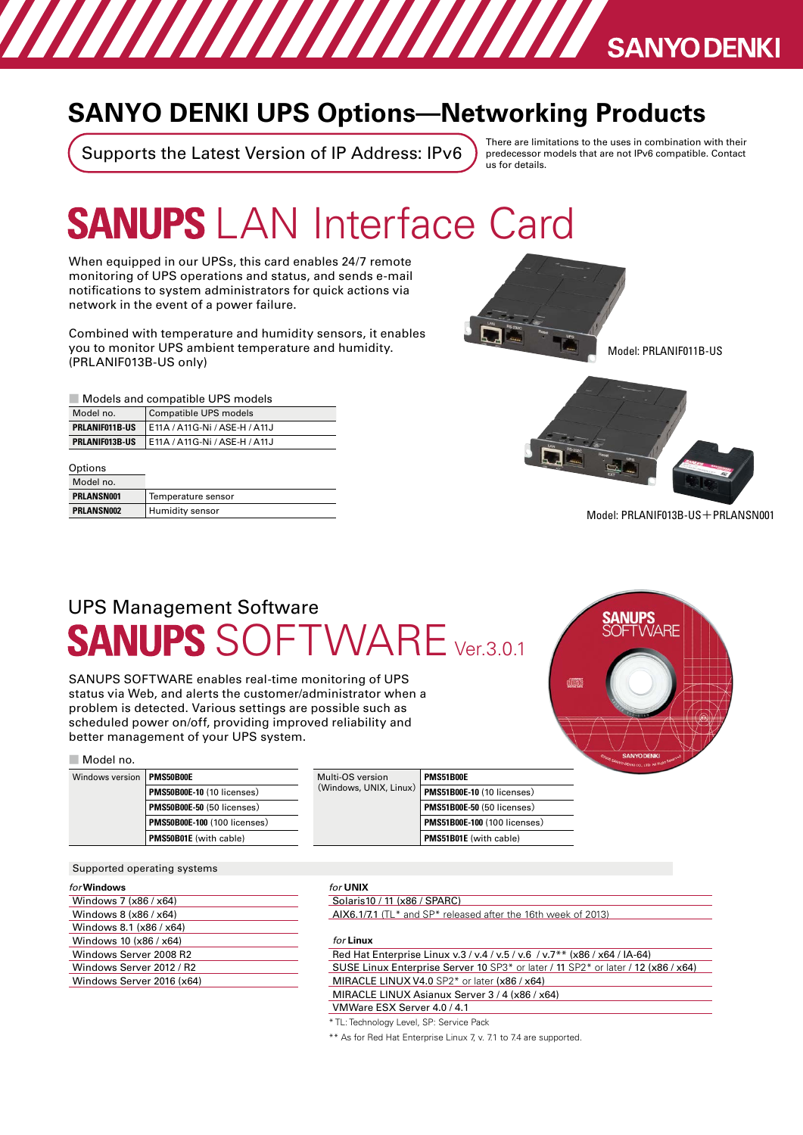## **SANYO DENKI UPS Options-Networking Products**

И ЛИГИ ДИ ДИ ДИ ДА ВАЛУОРЕНКІ

Supports the Latest Version of IP Address: IPv6

There are limitations to the uses in combination with their predecessor models that are not IPv6 compatible. Contact us for details

# **SANUPS LAN Interface Card**

When equipped in our UPSs, this card enables 24/7 remote monitoring of UPS operations and status, and sends e-mail notifications to system administrators for quick actions via network in the event of a power failure.

Combined with temperature and humidity sensors, it enables you to monitor UPS ambient temperature and humidity. (PRLANIF013B-US only)

#### ■ Models and compatible UPS models

| Model no.             | Compatible UPS models         |
|-----------------------|-------------------------------|
| <b>PRLANIF011B-US</b> | E11A / A11G-Ni / ASE-H / A11J |
| PRLANIF013B-US        | E11A / A11G-Ni / ASE-H / A11J |

| Options    |                    |
|------------|--------------------|
| Model no.  |                    |
| PRLANSN001 | Temperature sensor |
| PRLANSN002 | Humidity sensor    |
|            |                    |





 $Model: PRLAN$ IF013B-US $+$ PRLANSN001

### UPS Management Software  $\mathsf{WARE}_{\mathtt{Ver3.0.1}}$ **ANUPS**

SANUPS SOFTWARE enables real-time monitoring of UPS status via Web, and alerts the customer/administrator when a problem is detected. Various settings are possible such as scheduled power on/off, providing improved reliability and better management of your UPS system.

■ Model no.

| Windows version | PMS50B00E                           |
|-----------------|-------------------------------------|
|                 | PMS50B00E-10 (10 licenses)          |
|                 | PMS50B00E-50 (50 licenses)          |
|                 | <b>PMS50B00E-100 (100 licenses)</b> |
|                 | PMS50B01E (with cable)              |
|                 |                                     |

| Multi-OS version       | <b>PMS51B00E</b>                  |
|------------------------|-----------------------------------|
| (Windows, UNIX, Linux) | PMS51B00E-10 (10 licenses)        |
|                        | <b>PMS51B00E-50 (50 licenses)</b> |
|                        | PMS51B00E-100 (100 licenses)      |
|                        | PMS51B01E (with cable)            |

Supported operating systems

| <i>for</i> Windows |  |
|--------------------|--|
|--------------------|--|

| Windows 7 (x86 / x64)     |
|---------------------------|
| Windows 8 (x86 / x64)     |
| Windows 8.1 (x86 / x64)   |
| Windows 10 (x86 / x64)    |
| Windows Server 2008 R2    |
| Windows Server 2012 / R2  |
| Windows Server 2016 (x64) |
|                           |

#### **UNIX** *for*

Solaris 10 / 11 (x86 / SPARC)

 $AIX6.1/7.1$  (TL\* and SP\* released after the 16th week of 2013)

**Linux** *for*

\* TL: Technology Level, SP: Service Pack

\*\* As for Red Hat Enterprise Linux 7, v. 7.1 to 7.4 are supported